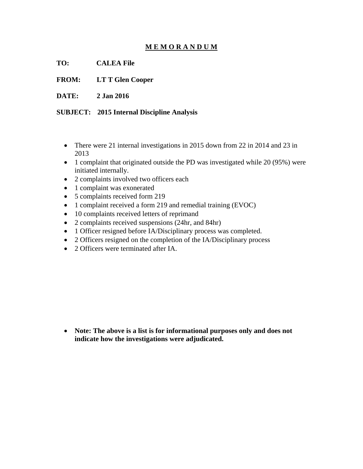## **M E M O R A N D U M**

**TO: CALEA File** 

**FROM: LT T Glen Cooper** 

**DATE: 2 Jan 2016** 

**SUBJECT: 2015 Internal Discipline Analysis** 

- There were 21 internal investigations in 2015 down from 22 in 2014 and 23 in 2013
- 1 complaint that originated outside the PD was investigated while 20 (95%) were initiated internally.
- 2 complaints involved two officers each
- 1 complaint was exonerated
- 5 complaints received form 219
- 1 complaint received a form 219 and remedial training (EVOC)
- 10 complaints received letters of reprimand
- 2 complaints received suspensions (24hr, and 84hr)
- 1 Officer resigned before IA/Disciplinary process was completed.
- 2 Officers resigned on the completion of the IA/Disciplinary process
- 2 Officers were terminated after IA.

 **Note: The above is a list is for informational purposes only and does not indicate how the investigations were adjudicated.**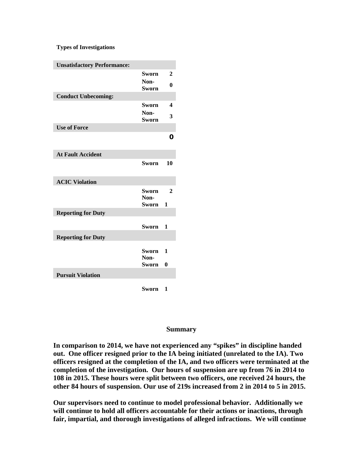## **Types of Investigations**

| <b>Unsatisfactory Performance:</b> |                      |              |
|------------------------------------|----------------------|--------------|
|                                    | Sworn                | 2            |
|                                    | Non-<br><b>Sworn</b> | $\bf{0}$     |
| <b>Conduct Unbecoming:</b>         |                      |              |
|                                    | Sworn                | 4            |
|                                    | Non-<br><b>Sworn</b> | 3            |
| <b>Use of Force</b>                |                      |              |
|                                    |                      | 0            |
| <b>At Fault Accident</b>           |                      |              |
|                                    | Sworn                | 10           |
| <b>ACIC Violation</b>              |                      |              |
|                                    | Sworn                | $\mathbf{2}$ |
|                                    | Non-<br><b>Sworn</b> | 1            |
| <b>Reporting for Duty</b>          |                      |              |
|                                    |                      |              |
|                                    | Sworn                | 1            |
| <b>Reporting for Duty</b>          |                      |              |
|                                    | <b>Sworn</b>         | 1            |
|                                    | Non-                 |              |
|                                    | Sworn                | $\bf{0}$     |
| <b>Pursuit Violation</b>           |                      |              |
|                                    | Sworn                | 1            |

## **Summary**

**In comparison to 2014, we have not experienced any "spikes" in discipline handed out. One officer resigned prior to the IA being initiated (unrelated to the IA). Two officers resigned at the completion of the IA, and two officers were terminated at the completion of the investigation. Our hours of suspension are up from 76 in 2014 to 108 in 2015. These hours were split between two officers, one received 24 hours, the other 84 hours of suspension. Our use of 219s increased from 2 in 2014 to 5 in 2015.** 

**Our supervisors need to continue to model professional behavior. Additionally we will continue to hold all officers accountable for their actions or inactions, through fair, impartial, and thorough investigations of alleged infractions. We will continue**